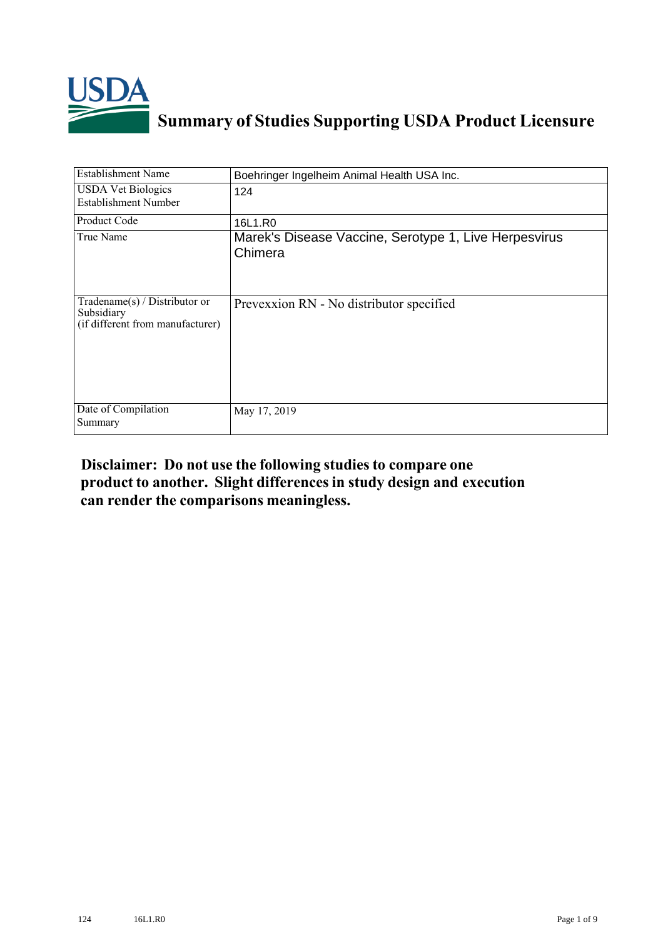

## **Summary of Studies Supporting USDA Product Licensure**

| <b>Establishment Name</b>                                                          | Boehringer Ingelheim Animal Health USA Inc.                      |
|------------------------------------------------------------------------------------|------------------------------------------------------------------|
| <b>USDA Vet Biologics</b><br>Establishment Number                                  | 124                                                              |
| Product Code                                                                       | 16L1.R0                                                          |
| True Name                                                                          | Marek's Disease Vaccine, Serotype 1, Live Herpesvirus<br>Chimera |
| Tradename $(s)$ / Distributor or<br>Subsidiary<br>(if different from manufacturer) | Prevexxion RN - No distributor specified                         |
| Date of Compilation<br>Summary                                                     | May 17, 2019                                                     |

## **Disclaimer: Do not use the following studiesto compare one product to another. Slight differencesin study design and execution can render the comparisons meaningless.**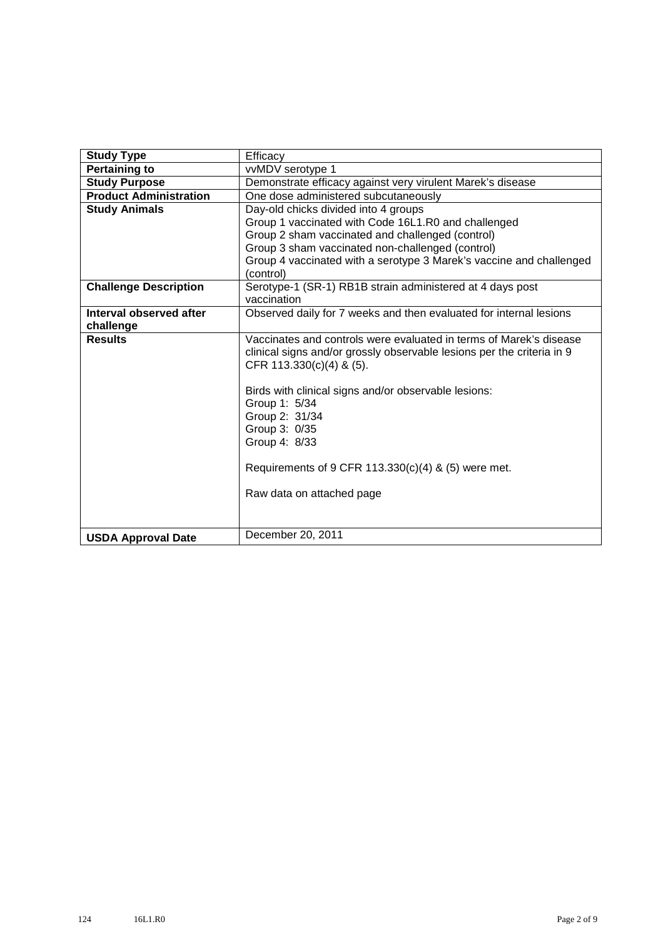| <b>Study Type</b>             | Efficacy                                                                                                                                     |
|-------------------------------|----------------------------------------------------------------------------------------------------------------------------------------------|
| <b>Pertaining to</b>          | vvMDV serotype 1                                                                                                                             |
| <b>Study Purpose</b>          | Demonstrate efficacy against very virulent Marek's disease                                                                                   |
| <b>Product Administration</b> | One dose administered subcutaneously                                                                                                         |
| <b>Study Animals</b>          | Day-old chicks divided into 4 groups                                                                                                         |
|                               | Group 1 vaccinated with Code 16L1.R0 and challenged                                                                                          |
|                               | Group 2 sham vaccinated and challenged (control)                                                                                             |
|                               | Group 3 sham vaccinated non-challenged (control)                                                                                             |
|                               | Group 4 vaccinated with a serotype 3 Marek's vaccine and challenged                                                                          |
|                               | (control)                                                                                                                                    |
| <b>Challenge Description</b>  | Serotype-1 (SR-1) RB1B strain administered at 4 days post                                                                                    |
|                               | vaccination                                                                                                                                  |
| Interval observed after       | Observed daily for 7 weeks and then evaluated for internal lesions                                                                           |
| challenge                     |                                                                                                                                              |
| <b>Results</b>                | Vaccinates and controls were evaluated in terms of Marek's disease<br>clinical signs and/or grossly observable lesions per the criteria in 9 |
|                               | CFR $113.330(c)(4)$ & $(5)$ .                                                                                                                |
|                               | Birds with clinical signs and/or observable lesions:                                                                                         |
|                               | Group 1: 5/34                                                                                                                                |
|                               | Group 2: 31/34                                                                                                                               |
|                               | Group 3: 0/35                                                                                                                                |
|                               | Group 4: 8/33                                                                                                                                |
|                               | Requirements of 9 CFR 113.330(c)(4) & (5) were met.                                                                                          |
|                               | Raw data on attached page                                                                                                                    |
|                               |                                                                                                                                              |
|                               |                                                                                                                                              |
| <b>USDA Approval Date</b>     | December 20, 2011                                                                                                                            |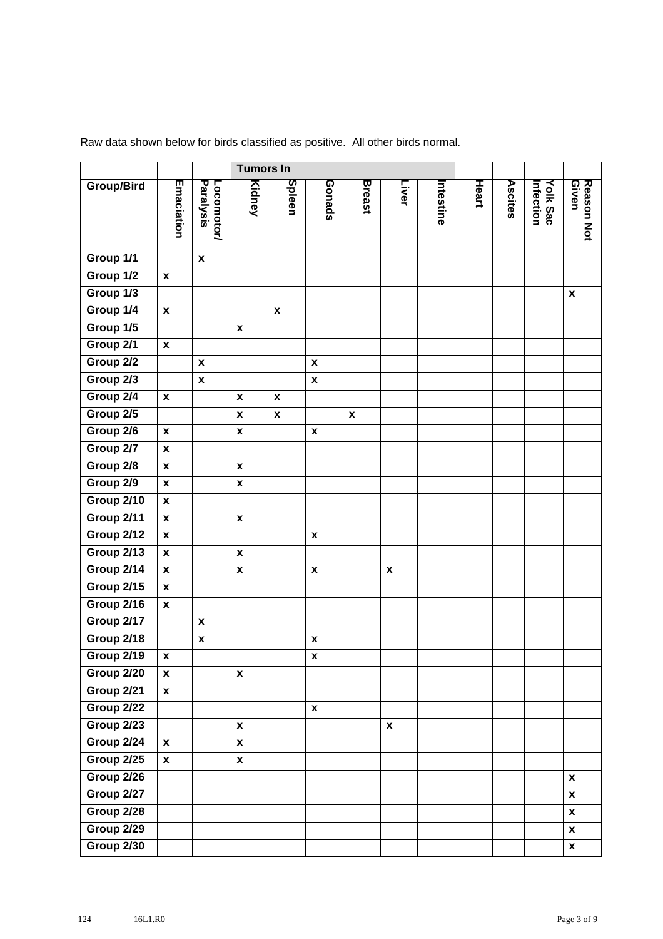|                   |                    |                         | <b>Tumors In</b>   |                    |                    |                    |                    |          |       |         |                             |                     |
|-------------------|--------------------|-------------------------|--------------------|--------------------|--------------------|--------------------|--------------------|----------|-------|---------|-----------------------------|---------------------|
| <b>Group/Bird</b> | Emaciation         | Paralysis<br>Locomotor/ | Kidney             | Spleen             | Gonads             | <b>Breast</b>      | Liver              | ntestine | Heart | Ascites | <b>Yolk Sac</b><br>hfection | Reason Not<br>Given |
| Group 1/1         |                    | $\pmb{\mathsf{x}}$      |                    |                    |                    |                    |                    |          |       |         |                             |                     |
| Group 1/2         | $\pmb{\mathsf{x}}$ |                         |                    |                    |                    |                    |                    |          |       |         |                             |                     |
| Group 1/3         |                    |                         |                    |                    |                    |                    |                    |          |       |         |                             | $\pmb{\mathsf{x}}$  |
| Group 1/4         | $\pmb{\mathsf{x}}$ |                         |                    | $\pmb{\mathsf{x}}$ |                    |                    |                    |          |       |         |                             |                     |
| Group 1/5         |                    |                         | $\pmb{\mathsf{x}}$ |                    |                    |                    |                    |          |       |         |                             |                     |
| Group 2/1         | $\pmb{\mathsf{x}}$ |                         |                    |                    |                    |                    |                    |          |       |         |                             |                     |
| Group 2/2         |                    | $\pmb{\mathsf{x}}$      |                    |                    | $\pmb{\chi}$       |                    |                    |          |       |         |                             |                     |
| Group 2/3         |                    | $\pmb{\mathsf{x}}$      |                    |                    | $\pmb{\mathsf{x}}$ |                    |                    |          |       |         |                             |                     |
| Group 2/4         | $\pmb{\mathsf{x}}$ |                         | X                  | $\pmb{\mathsf{x}}$ |                    |                    |                    |          |       |         |                             |                     |
| Group 2/5         |                    |                         | $\pmb{\chi}$       | $\pmb{\mathsf{x}}$ |                    | $\pmb{\mathsf{x}}$ |                    |          |       |         |                             |                     |
| Group 2/6         | $\pmb{\mathsf{x}}$ |                         | $\pmb{\mathsf{x}}$ |                    | $\pmb{\mathsf{x}}$ |                    |                    |          |       |         |                             |                     |
| Group 2/7         | $\pmb{\mathsf{x}}$ |                         |                    |                    |                    |                    |                    |          |       |         |                             |                     |
| Group 2/8         | $\pmb{\mathsf{x}}$ |                         | $\pmb{\mathsf{x}}$ |                    |                    |                    |                    |          |       |         |                             |                     |
| Group 2/9         | $\pmb{\mathsf{x}}$ |                         | $\pmb{\mathsf{x}}$ |                    |                    |                    |                    |          |       |         |                             |                     |
| Group 2/10        | $\pmb{\mathsf{x}}$ |                         |                    |                    |                    |                    |                    |          |       |         |                             |                     |
| Group 2/11        | $\pmb{\mathsf{x}}$ |                         | $\pmb{\mathsf{x}}$ |                    |                    |                    |                    |          |       |         |                             |                     |
| Group 2/12        | $\pmb{\mathsf{x}}$ |                         |                    |                    | $\pmb{\mathsf{x}}$ |                    |                    |          |       |         |                             |                     |
| Group 2/13        | $\pmb{\mathsf{x}}$ |                         | $\pmb{\mathsf{x}}$ |                    |                    |                    |                    |          |       |         |                             |                     |
| Group 2/14        | $\pmb{\mathsf{x}}$ |                         | X                  |                    | $\pmb{\mathsf{x}}$ |                    | $\pmb{\mathsf{x}}$ |          |       |         |                             |                     |
| Group 2/15        | $\pmb{\mathsf{x}}$ |                         |                    |                    |                    |                    |                    |          |       |         |                             |                     |
| Group 2/16        | $\pmb{\mathsf{x}}$ |                         |                    |                    |                    |                    |                    |          |       |         |                             |                     |
| Group 2/17        |                    | $\pmb{\mathsf{x}}$      |                    |                    |                    |                    |                    |          |       |         |                             |                     |
| Group 2/18        |                    | $\pmb{\mathsf{x}}$      |                    |                    | $\pmb{\mathsf{x}}$ |                    |                    |          |       |         |                             |                     |
| Group 2/19        | $\pmb{\mathsf{x}}$ |                         |                    |                    | X                  |                    |                    |          |       |         |                             |                     |
| Group 2/20        | $\boldsymbol{x}$   |                         | $\mathbf{x}$       |                    |                    |                    |                    |          |       |         |                             |                     |
| Group 2/21        | $\pmb{\mathsf{x}}$ |                         |                    |                    |                    |                    |                    |          |       |         |                             |                     |
| Group 2/22        |                    |                         |                    |                    | $\pmb{\mathsf{x}}$ |                    |                    |          |       |         |                             |                     |
| Group 2/23        |                    |                         | $\pmb{\mathsf{x}}$ |                    |                    |                    | $\pmb{\mathsf{x}}$ |          |       |         |                             |                     |
| Group 2/24        | $\pmb{\mathsf{x}}$ |                         | $\pmb{\mathsf{x}}$ |                    |                    |                    |                    |          |       |         |                             |                     |
| Group 2/25        | $\pmb{\mathsf{x}}$ |                         | $\pmb{\mathsf{x}}$ |                    |                    |                    |                    |          |       |         |                             |                     |
| Group 2/26        |                    |                         |                    |                    |                    |                    |                    |          |       |         |                             | $\pmb{\mathsf{x}}$  |
| Group 2/27        |                    |                         |                    |                    |                    |                    |                    |          |       |         |                             | $\pmb{\mathsf{x}}$  |
| Group 2/28        |                    |                         |                    |                    |                    |                    |                    |          |       |         |                             | $\pmb{\mathsf{x}}$  |
| Group 2/29        |                    |                         |                    |                    |                    |                    |                    |          |       |         |                             | $\pmb{\mathsf{x}}$  |
| Group 2/30        |                    |                         |                    |                    |                    |                    |                    |          |       |         |                             | $\pmb{\mathsf{x}}$  |

Raw data shown below for birds classified as positive. All other birds normal.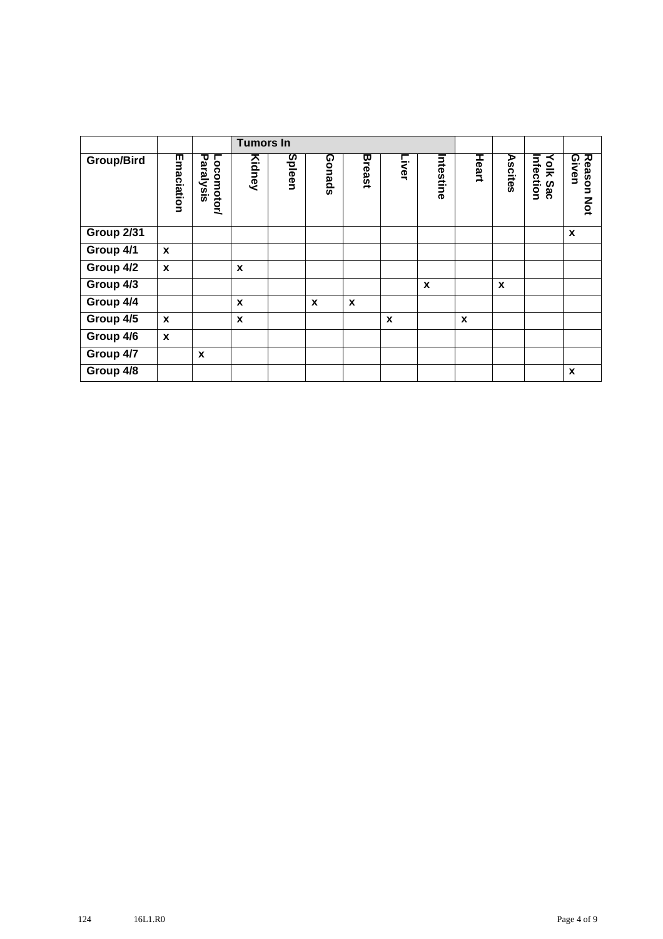|                   |                  |                         | <b>Tumors In</b> |        |                  |        |       |                  |       |         |                              |                               |
|-------------------|------------------|-------------------------|------------------|--------|------------------|--------|-------|------------------|-------|---------|------------------------------|-------------------------------|
| Group/Bird        | Emaciation       | Paralysis<br>Locomotor/ | Kidney           | Spleen | Gonads           | Breast | Liver | Intestine        | Heart | Ascites | Infection<br><b>Yolk Sac</b> | Reason<br>Given<br><b>Not</b> |
| <b>Group 2/31</b> |                  |                         |                  |        |                  |        |       |                  |       |         |                              | X                             |
| Group 4/1         | $\boldsymbol{x}$ |                         |                  |        |                  |        |       |                  |       |         |                              |                               |
| Group 4/2         | $\mathbf{x}$     |                         | $\boldsymbol{x}$ |        |                  |        |       |                  |       |         |                              |                               |
| Group 4/3         |                  |                         |                  |        |                  |        |       | $\boldsymbol{x}$ |       | X       |                              |                               |
| Group 4/4         |                  |                         | X                |        | $\boldsymbol{x}$ | X      |       |                  |       |         |                              |                               |
| Group 4/5         | $\boldsymbol{x}$ |                         | X                |        |                  |        | X     |                  | X     |         |                              |                               |
| Group 4/6         | $\boldsymbol{x}$ |                         |                  |        |                  |        |       |                  |       |         |                              |                               |
| Group 4/7         |                  | $\boldsymbol{x}$        |                  |        |                  |        |       |                  |       |         |                              |                               |
| Group 4/8         |                  |                         |                  |        |                  |        |       |                  |       |         |                              | X                             |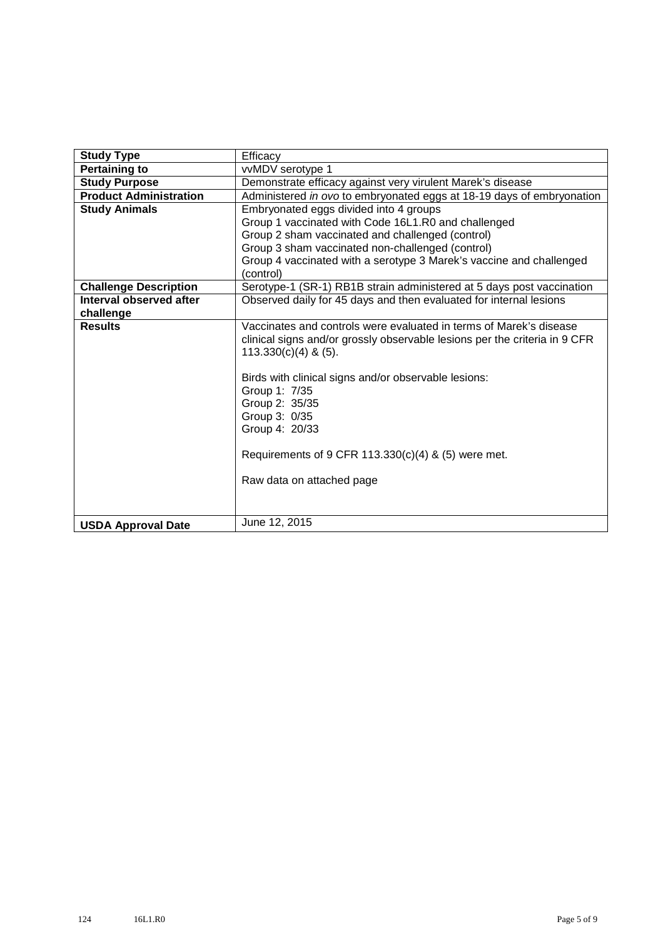| <b>Study Type</b>             | Efficacy                                                                                                                                                                                                       |  |  |  |  |  |  |  |  |  |  |
|-------------------------------|----------------------------------------------------------------------------------------------------------------------------------------------------------------------------------------------------------------|--|--|--|--|--|--|--|--|--|--|
| <b>Pertaining to</b>          | vvMDV serotype 1                                                                                                                                                                                               |  |  |  |  |  |  |  |  |  |  |
| <b>Study Purpose</b>          | Demonstrate efficacy against very virulent Marek's disease                                                                                                                                                     |  |  |  |  |  |  |  |  |  |  |
| <b>Product Administration</b> | Administered in ovo to embryonated eggs at 18-19 days of embryonation                                                                                                                                          |  |  |  |  |  |  |  |  |  |  |
| <b>Study Animals</b>          | Embryonated eggs divided into 4 groups                                                                                                                                                                         |  |  |  |  |  |  |  |  |  |  |
|                               | Group 1 vaccinated with Code 16L1.R0 and challenged                                                                                                                                                            |  |  |  |  |  |  |  |  |  |  |
|                               | Group 2 sham vaccinated and challenged (control)                                                                                                                                                               |  |  |  |  |  |  |  |  |  |  |
|                               | Group 3 sham vaccinated non-challenged (control)                                                                                                                                                               |  |  |  |  |  |  |  |  |  |  |
|                               | Group 4 vaccinated with a serotype 3 Marek's vaccine and challenged                                                                                                                                            |  |  |  |  |  |  |  |  |  |  |
|                               | (control)                                                                                                                                                                                                      |  |  |  |  |  |  |  |  |  |  |
| <b>Challenge Description</b>  | Serotype-1 (SR-1) RB1B strain administered at 5 days post vaccination                                                                                                                                          |  |  |  |  |  |  |  |  |  |  |
| Interval observed after       | Observed daily for 45 days and then evaluated for internal lesions                                                                                                                                             |  |  |  |  |  |  |  |  |  |  |
| challenge                     |                                                                                                                                                                                                                |  |  |  |  |  |  |  |  |  |  |
| <b>Results</b>                | Vaccinates and controls were evaluated in terms of Marek's disease<br>clinical signs and/or grossly observable lesions per the criteria in 9 CFR<br>$113.330(c)(4)$ & (5).                                     |  |  |  |  |  |  |  |  |  |  |
|                               | Birds with clinical signs and/or observable lesions:<br>Group 1: 7/35<br>Group 2: 35/35<br>Group 3: 0/35<br>Group 4: 20/33<br>Requirements of 9 CFR 113.330(c)(4) & (5) were met.<br>Raw data on attached page |  |  |  |  |  |  |  |  |  |  |
| <b>USDA Approval Date</b>     | June 12, 2015                                                                                                                                                                                                  |  |  |  |  |  |  |  |  |  |  |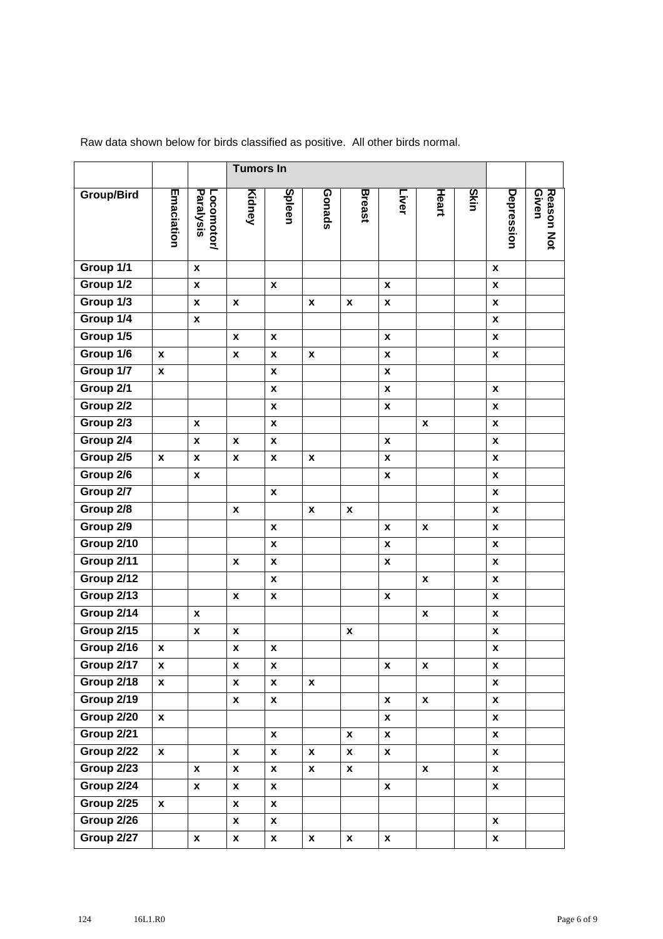|                   |                    |                           | <b>Tumors In</b>   |                    |                    |                    |                    |                    |      |                    |                     |
|-------------------|--------------------|---------------------------|--------------------|--------------------|--------------------|--------------------|--------------------|--------------------|------|--------------------|---------------------|
| <b>Group/Bird</b> | Emaciation         | Paralysis<br>Locomotor/   | Kidney             | Spleen             | Gonads             | <b>Breast</b>      | Liver              | Heart              | Skin | Depression         | Reason Not<br>Given |
| Group 1/1         |                    | $\pmb{\chi}$              |                    |                    |                    |                    |                    |                    |      | $\pmb{\chi}$       |                     |
| Group 1/2         |                    | $\pmb{\chi}$              |                    | $\pmb{\chi}$       |                    |                    | X                  |                    |      | $\pmb{\chi}$       |                     |
| Group 1/3         |                    | $\pmb{\mathsf{x}}$        | X                  |                    | $\pmb{\mathsf{x}}$ | $\pmb{\mathsf{x}}$ | $\pmb{\mathsf{x}}$ |                    |      | $\pmb{\mathsf{x}}$ |                     |
| Group 1/4         |                    | $\pmb{\chi}$              |                    |                    |                    |                    |                    |                    |      | X                  |                     |
| Group 1/5         |                    |                           | $\pmb{\chi}$       | $\pmb{\mathsf{x}}$ |                    |                    | $\pmb{\mathsf{x}}$ |                    |      | $\mathbf{x}$       |                     |
| Group 1/6         | $\pmb{\mathsf{x}}$ |                           | $\pmb{\chi}$       | X                  | x                  |                    | $\pmb{\mathsf{x}}$ |                    |      | $\pmb{\mathsf{x}}$ |                     |
| Group 1/7         | X                  |                           |                    | $\pmb{\mathsf{x}}$ |                    |                    | $\pmb{\mathsf{x}}$ |                    |      |                    |                     |
| Group 2/1         |                    |                           |                    | $\pmb{\mathsf{x}}$ |                    |                    | $\pmb{\mathsf{x}}$ |                    |      | $\pmb{\chi}$       |                     |
| Group 2/2         |                    |                           |                    | $\pmb{\mathsf{x}}$ |                    |                    | $\pmb{\mathsf{x}}$ |                    |      | $\pmb{\mathsf{x}}$ |                     |
| Group 2/3         |                    | $\pmb{\chi}$              |                    | $\pmb{\mathsf{x}}$ |                    |                    |                    | X                  |      | X                  |                     |
| Group 2/4         |                    | $\pmb{\chi}$              | X                  | X                  |                    |                    | $\pmb{\mathsf{x}}$ |                    |      | $\boldsymbol{x}$   |                     |
| Group 2/5         | $\pmb{\chi}$       | $\boldsymbol{\mathsf{x}}$ | X                  | $\pmb{\mathsf{x}}$ | X                  |                    | $\pmb{\mathsf{x}}$ |                    |      | $\pmb{\mathsf{x}}$ |                     |
| Group 2/6         |                    | $\boldsymbol{x}$          |                    |                    |                    |                    | $\pmb{\mathsf{x}}$ |                    |      | X                  |                     |
| Group 2/7         |                    |                           |                    | $\pmb{\chi}$       |                    |                    |                    |                    |      | $\pmb{\chi}$       |                     |
| Group 2/8         |                    |                           | $\pmb{\chi}$       |                    | $\pmb{\mathsf{x}}$ | $\pmb{\mathsf{x}}$ |                    |                    |      | $\pmb{\mathsf{x}}$ |                     |
| Group 2/9         |                    |                           |                    | $\pmb{\mathsf{x}}$ |                    |                    | X                  | $\pmb{\mathsf{x}}$ |      | $\pmb{\mathsf{X}}$ |                     |
| Group 2/10        |                    |                           |                    | $\pmb{\mathsf{x}}$ |                    |                    | $\pmb{\mathsf{x}}$ |                    |      | $\boldsymbol{x}$   |                     |
| Group 2/11        |                    |                           | X                  | $\pmb{\mathsf{x}}$ |                    |                    | X                  |                    |      | $\pmb{\mathsf{x}}$ |                     |
| Group 2/12        |                    |                           |                    | $\pmb{\mathsf{x}}$ |                    |                    |                    | X                  |      | X                  |                     |
| Group 2/13        |                    |                           | X                  | $\pmb{\mathsf{x}}$ |                    |                    | $\pmb{\mathsf{x}}$ |                    |      | $\boldsymbol{x}$   |                     |
| Group 2/14        |                    | $\pmb{\mathsf{x}}$        |                    |                    |                    |                    |                    | $\pmb{\mathsf{x}}$ |      | $\pmb{\mathsf{x}}$ |                     |
| Group 2/15        |                    | $\pmb{\mathsf{x}}$        | X                  |                    |                    | X                  |                    |                    |      | $\pmb{\mathsf{x}}$ |                     |
| Group 2/16        | $\pmb{\mathsf{x}}$ |                           | $\pmb{\mathsf{x}}$ | X                  |                    |                    |                    |                    |      | $\boldsymbol{x}$   |                     |
| Group 2/17        | X                  |                           | $\pmb{\mathsf{x}}$ | $\pmb{\mathsf{x}}$ |                    |                    | $\pmb{\mathsf{x}}$ | $\pmb{\mathsf{x}}$ |      | $\pmb{\mathsf{x}}$ |                     |
| Group 2/18        | $\mathbf{x}$       |                           | $\pmb{\mathsf{x}}$ | $\pmb{\mathsf{x}}$ | $\pmb{\mathsf{x}}$ |                    |                    |                    |      | $\mathbf{x}$       |                     |
| Group 2/19        |                    |                           | $\boldsymbol{x}$   | $\pmb{\mathsf{x}}$ |                    |                    | $\boldsymbol{x}$   | $\pmb{\mathsf{x}}$ |      | X                  |                     |
| Group 2/20        | $\boldsymbol{x}$   |                           |                    |                    |                    |                    | $\pmb{\mathsf{x}}$ |                    |      | $\pmb{\mathsf{x}}$ |                     |
| Group 2/21        |                    |                           |                    | $\pmb{\mathsf{x}}$ |                    | X                  | $\pmb{\mathsf{X}}$ |                    |      | $\boldsymbol{x}$   |                     |
| Group 2/22        | $\mathbf{x}$       |                           | X                  | $\boldsymbol{x}$   | $\boldsymbol{x}$   | $\mathbf{x}$       | $\pmb{\mathsf{X}}$ |                    |      | X                  |                     |
| <b>Group 2/23</b> |                    | $\pmb{\chi}$              | $\boldsymbol{x}$   | $\pmb{\mathsf{x}}$ | X                  | $\pmb{\mathsf{x}}$ |                    | $\boldsymbol{x}$   |      | $\pmb{\mathsf{x}}$ |                     |
| Group 2/24        |                    | $\pmb{\mathsf{X}}$        | $\boldsymbol{x}$   | $\pmb{\mathsf{x}}$ |                    |                    | $\boldsymbol{x}$   |                    |      | $\boldsymbol{x}$   |                     |
| Group 2/25        | $\mathbf{x}$       |                           | $\pmb{\mathsf{x}}$ | $\pmb{\mathsf{x}}$ |                    |                    |                    |                    |      |                    |                     |
| Group 2/26        |                    |                           | $\mathbf{x}$       | $\boldsymbol{x}$   |                    |                    |                    |                    |      | $\pmb{\mathsf{x}}$ |                     |
| Group 2/27        |                    | $\pmb{\mathsf{x}}$        | $\boldsymbol{x}$   | $\pmb{\mathsf{x}}$ | $\boldsymbol{x}$   | $\pmb{\mathsf{x}}$ | $\pmb{\mathsf{x}}$ |                    |      | X                  |                     |

Raw data shown below for birds classified as positive. All other birds normal.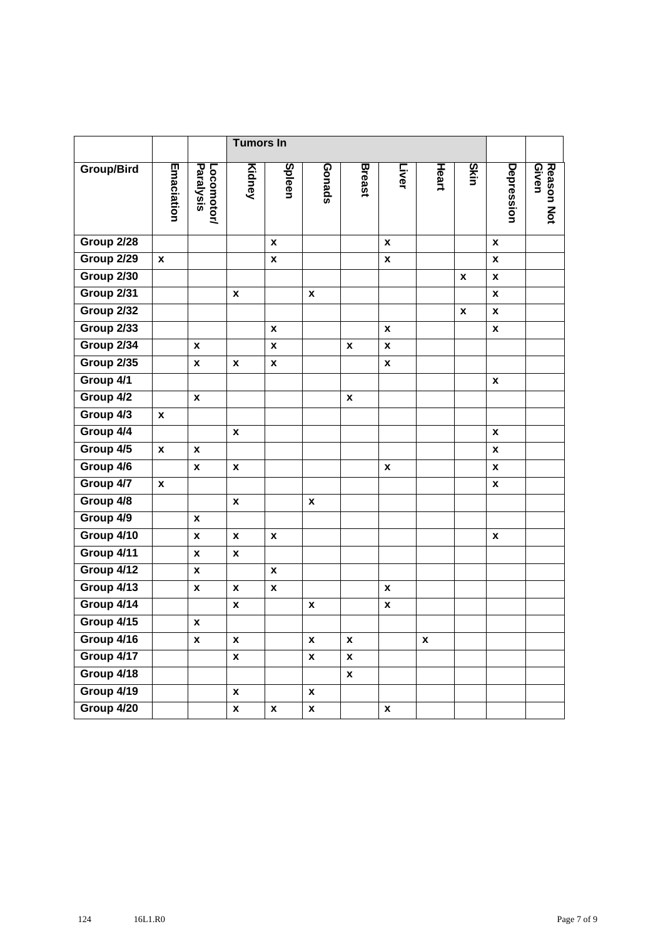|                   |                    |                           | <b>Tumors In</b>   |                    |                    |                    |                    |                    |                    |                    |                     |
|-------------------|--------------------|---------------------------|--------------------|--------------------|--------------------|--------------------|--------------------|--------------------|--------------------|--------------------|---------------------|
| <b>Group/Bird</b> | Emaciation         | Paralysis<br>Locomotor/   | Kidney             | Spleen             | Gonads             | <b>Breast</b>      | Liver              | Heart              | Skin               | Depression         | Reason Not<br>Given |
| Group 2/28        |                    |                           |                    | X                  |                    |                    | X                  |                    |                    | $\pmb{\chi}$       |                     |
| Group 2/29        | $\boldsymbol{x}$   |                           |                    | $\pmb{\mathsf{x}}$ |                    |                    | $\boldsymbol{x}$   |                    |                    | X                  |                     |
| Group 2/30        |                    |                           |                    |                    |                    |                    |                    |                    | $\pmb{\mathsf{x}}$ | $\boldsymbol{x}$   |                     |
| Group 2/31        |                    |                           | $\boldsymbol{x}$   |                    | $\pmb{\mathsf{x}}$ |                    |                    |                    |                    | $\pmb{\mathsf{x}}$ |                     |
| Group 2/32        |                    |                           |                    |                    |                    |                    |                    |                    | $\pmb{\mathsf{x}}$ | $\pmb{\mathsf{x}}$ |                     |
| Group 2/33        |                    |                           |                    | X                  |                    |                    | $\pmb{\chi}$       |                    |                    | $\pmb{\mathsf{x}}$ |                     |
| Group 2/34        |                    | X                         |                    | X                  |                    | $\pmb{\mathsf{x}}$ | $\pmb{\chi}$       |                    |                    |                    |                     |
| Group 2/35        |                    | $\pmb{\chi}$              | $\pmb{\chi}$       | $\pmb{\mathsf{x}}$ |                    |                    | $\pmb{\mathsf{x}}$ |                    |                    |                    |                     |
| Group 4/1         |                    |                           |                    |                    |                    |                    |                    |                    |                    | $\pmb{\chi}$       |                     |
| Group 4/2         |                    | $\pmb{\mathsf{x}}$        |                    |                    |                    | $\pmb{\mathsf{x}}$ |                    |                    |                    |                    |                     |
| Group 4/3         | $\boldsymbol{x}$   |                           |                    |                    |                    |                    |                    |                    |                    |                    |                     |
| Group 4/4         |                    |                           | $\pmb{\chi}$       |                    |                    |                    |                    |                    |                    | $\pmb{\chi}$       |                     |
| Group 4/5         | $\boldsymbol{x}$   | X                         |                    |                    |                    |                    |                    |                    |                    | X                  |                     |
| Group 4/6         |                    | X                         | X                  |                    |                    |                    | X                  |                    |                    | $\pmb{\chi}$       |                     |
| Group 4/7         | $\pmb{\mathsf{x}}$ |                           |                    |                    |                    |                    |                    |                    |                    | $\pmb{\chi}$       |                     |
| Group 4/8         |                    |                           | $\pmb{\mathsf{x}}$ |                    | $\pmb{\mathsf{x}}$ |                    |                    |                    |                    |                    |                     |
| Group 4/9         |                    | X                         |                    |                    |                    |                    |                    |                    |                    |                    |                     |
| Group 4/10        |                    | $\pmb{\chi}$              | $\pmb{\chi}$       | $\pmb{\mathsf{x}}$ |                    |                    |                    |                    |                    | $\pmb{\chi}$       |                     |
| Group 4/11        |                    | $\pmb{\mathsf{x}}$        | $\pmb{\mathsf{x}}$ |                    |                    |                    |                    |                    |                    |                    |                     |
| Group 4/12        |                    | $\pmb{\mathsf{x}}$        |                    | X                  |                    |                    |                    |                    |                    |                    |                     |
| Group 4/13        |                    | $\boldsymbol{\mathsf{x}}$ | X                  | $\pmb{\mathsf{x}}$ |                    |                    | $\boldsymbol{x}$   |                    |                    |                    |                     |
| Group 4/14        |                    |                           | $\pmb{\mathsf{x}}$ |                    | $\pmb{\mathsf{x}}$ |                    | $\pmb{\mathsf{x}}$ |                    |                    |                    |                     |
| Group 4/15        |                    | X                         |                    |                    |                    |                    |                    |                    |                    |                    |                     |
| Group 4/16        |                    | $\pmb{\mathsf{x}}$        | $\pmb{\mathsf{x}}$ |                    | $\pmb{\mathsf{x}}$ | $\pmb{\mathsf{x}}$ |                    | $\pmb{\mathsf{x}}$ |                    |                    |                     |
| Group 4/17        |                    |                           | $\pmb{\mathsf{x}}$ |                    | $\pmb{\mathsf{x}}$ | $\pmb{\mathsf{x}}$ |                    |                    |                    |                    |                     |
| Group 4/18        |                    |                           |                    |                    |                    | X                  |                    |                    |                    |                    |                     |
| Group 4/19        |                    |                           | $\pmb{\mathsf{x}}$ |                    | $\boldsymbol{x}$   |                    |                    |                    |                    |                    |                     |
| Group 4/20        |                    |                           | $\pmb{\mathsf{x}}$ | $\pmb{\mathsf{x}}$ | $\pmb{\mathsf{x}}$ |                    | $\pmb{\mathsf{X}}$ |                    |                    |                    |                     |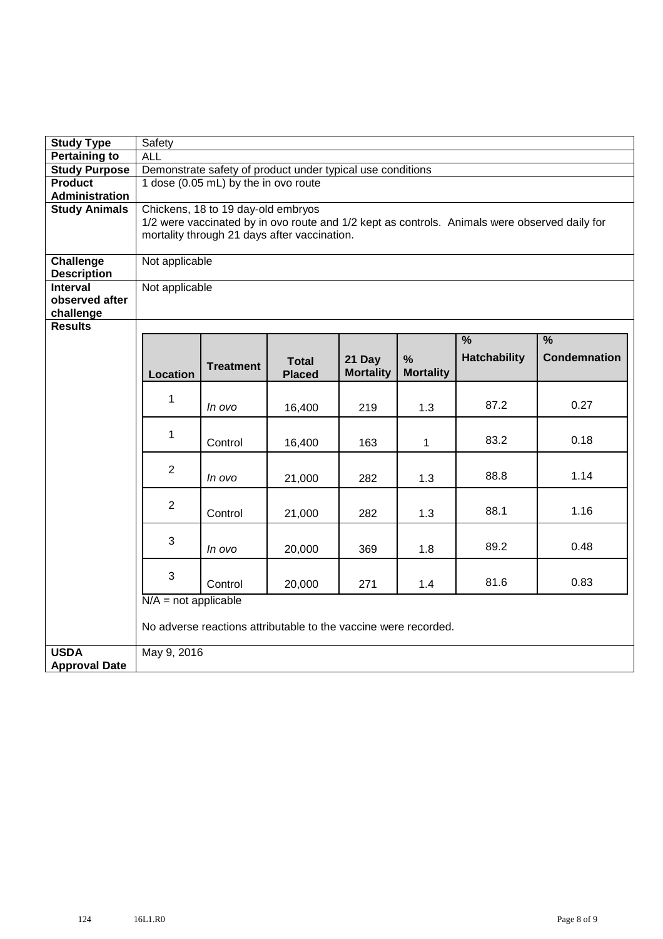| <b>Study Type</b>                      | Safety                                                                                        |                                              |                                                                 |                            |                  |                     |                     |  |  |  |  |  |  |
|----------------------------------------|-----------------------------------------------------------------------------------------------|----------------------------------------------|-----------------------------------------------------------------|----------------------------|------------------|---------------------|---------------------|--|--|--|--|--|--|
| <b>Pertaining to</b>                   | <b>ALL</b>                                                                                    |                                              |                                                                 |                            |                  |                     |                     |  |  |  |  |  |  |
| <b>Study Purpose</b>                   | Demonstrate safety of product under typical use conditions                                    |                                              |                                                                 |                            |                  |                     |                     |  |  |  |  |  |  |
| <b>Product</b>                         | 1 dose (0.05 mL) by the in ovo route                                                          |                                              |                                                                 |                            |                  |                     |                     |  |  |  |  |  |  |
| <b>Administration</b>                  |                                                                                               |                                              |                                                                 |                            |                  |                     |                     |  |  |  |  |  |  |
| <b>Study Animals</b>                   | Chickens, 18 to 19 day-old embryos                                                            |                                              |                                                                 |                            |                  |                     |                     |  |  |  |  |  |  |
|                                        | 1/2 were vaccinated by in ovo route and 1/2 kept as controls. Animals were observed daily for |                                              |                                                                 |                            |                  |                     |                     |  |  |  |  |  |  |
|                                        |                                                                                               | mortality through 21 days after vaccination. |                                                                 |                            |                  |                     |                     |  |  |  |  |  |  |
|                                        |                                                                                               |                                              |                                                                 |                            |                  |                     |                     |  |  |  |  |  |  |
| <b>Challenge</b><br><b>Description</b> | Not applicable                                                                                |                                              |                                                                 |                            |                  |                     |                     |  |  |  |  |  |  |
| <b>Interval</b>                        | Not applicable                                                                                |                                              |                                                                 |                            |                  |                     |                     |  |  |  |  |  |  |
| observed after                         |                                                                                               |                                              |                                                                 |                            |                  |                     |                     |  |  |  |  |  |  |
| challenge                              |                                                                                               |                                              |                                                                 |                            |                  |                     |                     |  |  |  |  |  |  |
| <b>Results</b>                         |                                                                                               |                                              |                                                                 |                            |                  |                     |                     |  |  |  |  |  |  |
|                                        |                                                                                               |                                              |                                                                 |                            |                  | $\frac{9}{6}$       | $\frac{9}{6}$       |  |  |  |  |  |  |
|                                        |                                                                                               |                                              |                                                                 |                            | %                | <b>Hatchability</b> | <b>Condemnation</b> |  |  |  |  |  |  |
|                                        | <b>Location</b>                                                                               | <b>Treatment</b>                             | <b>Total</b><br><b>Placed</b>                                   | 21 Day<br><b>Mortality</b> | <b>Mortality</b> |                     |                     |  |  |  |  |  |  |
|                                        |                                                                                               |                                              |                                                                 |                            |                  |                     |                     |  |  |  |  |  |  |
|                                        | $\mathbf 1$                                                                                   |                                              |                                                                 |                            |                  |                     |                     |  |  |  |  |  |  |
|                                        |                                                                                               | In ovo                                       | 16,400                                                          | 219                        | 1.3              | 87.2                | 0.27                |  |  |  |  |  |  |
|                                        |                                                                                               |                                              |                                                                 |                            |                  |                     |                     |  |  |  |  |  |  |
|                                        | $\mathbf 1$                                                                                   | Control                                      | 16,400                                                          | 163                        | $\mathbf 1$      | 83.2                | 0.18                |  |  |  |  |  |  |
|                                        |                                                                                               |                                              |                                                                 |                            |                  |                     |                     |  |  |  |  |  |  |
|                                        | $\overline{2}$                                                                                |                                              |                                                                 |                            |                  |                     |                     |  |  |  |  |  |  |
|                                        |                                                                                               | In ovo                                       | 21,000                                                          | 282                        | 1.3              | 88.8                | 1.14                |  |  |  |  |  |  |
|                                        |                                                                                               |                                              |                                                                 |                            |                  |                     |                     |  |  |  |  |  |  |
|                                        | $\overline{2}$                                                                                | Control                                      | 21,000                                                          | 282                        | 1.3              | 88.1                | 1.16                |  |  |  |  |  |  |
|                                        |                                                                                               |                                              |                                                                 |                            |                  |                     |                     |  |  |  |  |  |  |
|                                        | 3                                                                                             |                                              |                                                                 |                            |                  |                     |                     |  |  |  |  |  |  |
|                                        |                                                                                               | In ovo                                       | 20,000                                                          | 369                        | 1.8              | 89.2                | 0.48                |  |  |  |  |  |  |
|                                        |                                                                                               |                                              |                                                                 |                            |                  |                     |                     |  |  |  |  |  |  |
|                                        | 3                                                                                             | Control                                      | 20,000                                                          | 271                        | 1.4              | 81.6                | 0.83                |  |  |  |  |  |  |
|                                        | $N/A$ = not applicable                                                                        |                                              |                                                                 |                            |                  |                     |                     |  |  |  |  |  |  |
|                                        |                                                                                               |                                              |                                                                 |                            |                  |                     |                     |  |  |  |  |  |  |
|                                        |                                                                                               |                                              | No adverse reactions attributable to the vaccine were recorded. |                            |                  |                     |                     |  |  |  |  |  |  |
|                                        |                                                                                               |                                              |                                                                 |                            |                  |                     |                     |  |  |  |  |  |  |
| <b>USDA</b>                            | May 9, 2016                                                                                   |                                              |                                                                 |                            |                  |                     |                     |  |  |  |  |  |  |
| <b>Approval Date</b>                   |                                                                                               |                                              |                                                                 |                            |                  |                     |                     |  |  |  |  |  |  |